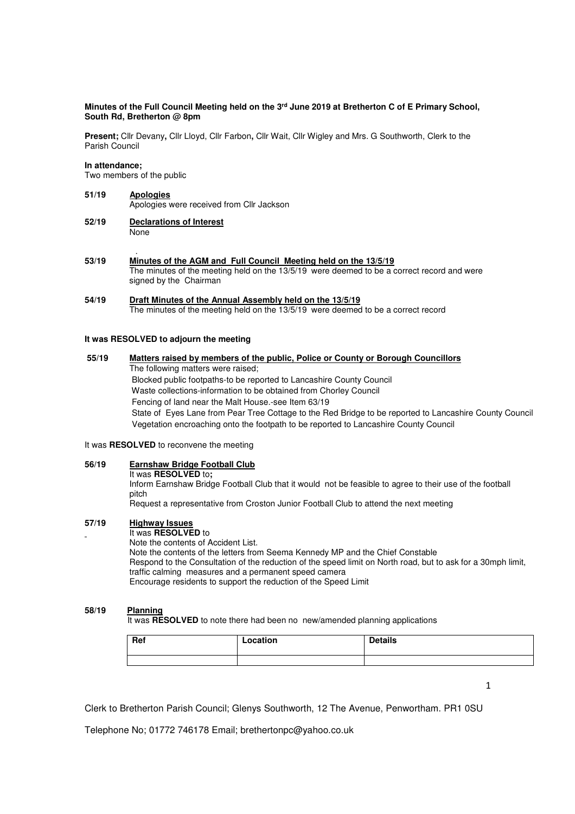### **Minutes of the Full Council Meeting held on the 3rd June 2019 at Bretherton C of E Primary School, South Rd, Bretherton @ 8pm**

**Present;** Cllr Devany**,** Cllr Lloyd, Cllr Farbon**,** Cllr Wait, Cllr Wigley and Mrs. G Southworth, Clerk to the Parish Council

#### **In attendance;**

Two members of the public

## **51/19 Apologies** Apologies were received from Cllr Jackson

- **52/19 Declarations of Interest None**
- . **53/19 Minutes of the AGM and Full Council Meeting held on the 13/5/19**  The minutes of the meeting held on the 13/5/19 were deemed to be a correct record and were signed by the Chairman

#### **54/19 Draft Minutes of the Annual Assembly held on the 13/5/19** The minutes of the meeting held on the 13/5/19 were deemed to be a correct record

#### **It was RESOLVED to adjourn the meeting**

## **55/19 Matters raised by members of the public, Police or County or Borough Councillors**  The following matters were raised;

 Blocked public footpaths-to be reported to Lancashire County Council Waste collections-information to be obtained from Chorley Council Fencing of land near the Malt House.-see Item 63/19 State of Eyes Lane from Pear Tree Cottage to the Red Bridge to be reported to Lancashire County Council Vegetation encroaching onto the footpath to be reported to Lancashire County Council

## It was **RESOLVED** to reconvene the meeting

## **56/19 Earnshaw Bridge Football Club**

It was **RESOLVED** to**;** 

Inform Earnshaw Bridge Football Club that it would not be feasible to agree to their use of the football pitch

Request a representative from Croston Junior Football Club to attend the next meeting

## **57/19 Highway Issues**

# It was **RESOLVED** to

Note the contents of Accident List.

 Note the contents of the letters from Seema Kennedy MP and the Chief Constable Respond to the Consultation of the reduction of the speed limit on North road, but to ask for a 30mph limit, traffic calming measures and a permanent speed camera Encourage residents to support the reduction of the Speed Limit

## **58/19 Planning**

It was **RESOLVED** to note there had been no new/amended planning applications

| Ref | Location | <b>Details</b> |
|-----|----------|----------------|
|     |          |                |

1

Clerk to Bretherton Parish Council; Glenys Southworth, 12 The Avenue, Penwortham. PR1 0SU

Telephone No; 01772 746178 Email; brethertonpc@yahoo.co.uk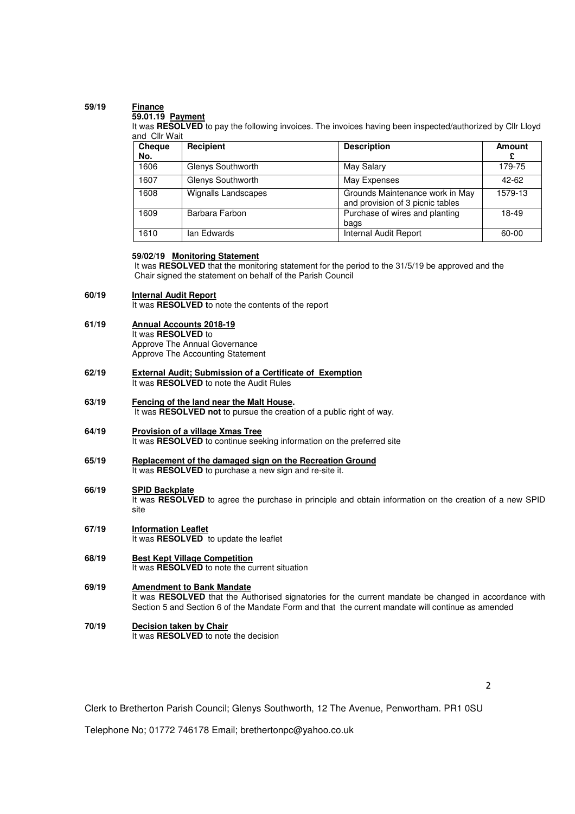## **59/19 Finance**

## **59.01.19 Payment**

It was RESOLVED to pay the following invoices. The invoices having been inspected/authorized by Cllr Lloyd and Cllr Wait

| Cheque<br>No. | Recipient           | <b>Description</b>                                                  | Amount    |
|---------------|---------------------|---------------------------------------------------------------------|-----------|
| 1606          | Glenys Southworth   | May Salary                                                          | 179-75    |
| 1607          | Glenys Southworth   | May Expenses                                                        | $42 - 62$ |
| 1608          | Wignalls Landscapes | Grounds Maintenance work in May<br>and provision of 3 picnic tables | 1579-13   |
| 1609          | Barbara Farbon      | Purchase of wires and planting<br>bags                              | 18-49     |
| 1610          | Ian Edwards         | Internal Audit Report                                               | 60-00     |

## **59/02/19 Monitoring Statement**

 It was **RESOLVED** that the monitoring statement for the period to the 31/5/19 be approved and the Chair signed the statement on behalf of the Parish Council

#### **60/19 Internal Audit Report**

It was **RESOLVED t**o note the contents of the report

**61/19 Annual Accounts 2018-19**  It was **RESOLVED** to Approve The Annual Governance

Approve The Accounting Statement

**62/19 External Audit; Submission of a Certificate of Exemption**  It was **RESOLVED** to note the Audit Rules

**Fencing of the land near the Malt House.** 

It was **RESOLVED not** to pursue the creation of a public right of way.

**64/19 Provision of a village Xmas Tree** 

It was **RESOLVED** to continue seeking information on the preferred site

- **65/19 Replacement of the damaged sign on the Recreation Ground**  It was **RESOLVED** to purchase a new sign and re-site it.
- **66/19 SPID Backplate**

**63/19** 

It was **RESOLVED** to agree the purchase in principle and obtain information on the creation of a new SPID site

- **67/19 Information Leaflet**  It was **RESOLVED** to update the leaflet
- **68/19 Best Kept Village Competition**  It was **RESOLVED** to note the current situation

#### **69/19 Amendment to Bank Mandate**

It was **RESOLVED** that the Authorised signatories for the current mandate be changed in accordance with Section 5 and Section 6 of the Mandate Form and that the current mandate will continue as amended

**70/19 Decision taken by Chair**  It was **RESOLVED** to note the decision

2

Clerk to Bretherton Parish Council; Glenys Southworth, 12 The Avenue, Penwortham. PR1 0SU

Telephone No; 01772 746178 Email; brethertonpc@yahoo.co.uk